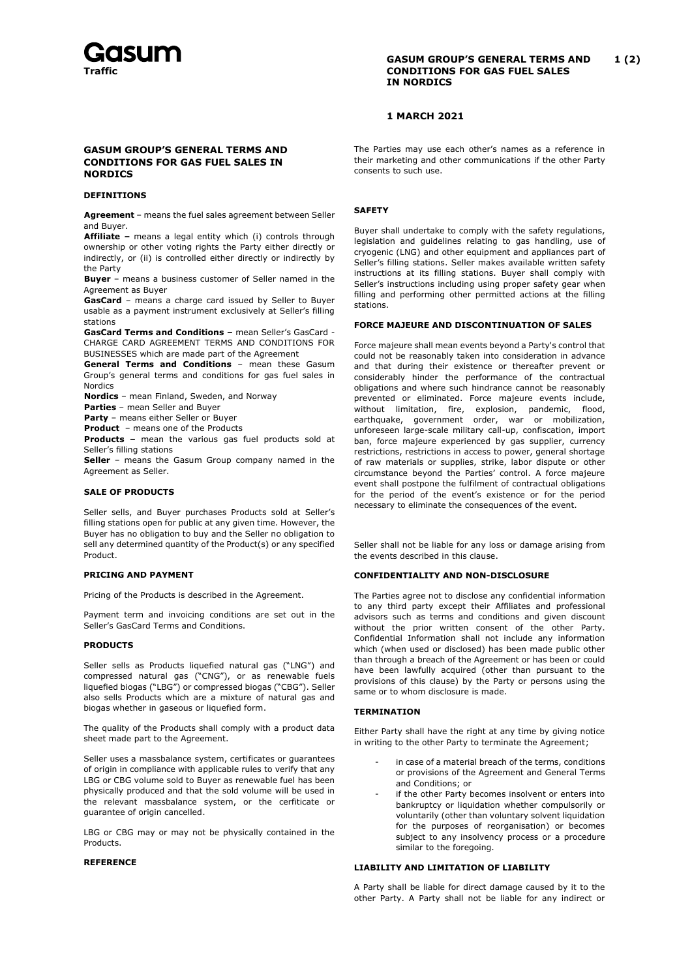

## **GASUM GROUP'S GENERAL TERMS AND 1 (2) CONDITIONS FOR GAS FUEL SALES IN NORDICS**

# **1 MARCH 2021**

# **GASUM GROUP'S GENERAL TERMS AND CONDITIONS FOR GAS FUEL SALES IN NORDICS**

#### **DEFINITIONS**

**Agreement** – means the fuel sales agreement between Seller and Buyer.

**Affiliate –** means a legal entity which (i) controls through ownership or other voting rights the Party either directly or indirectly, or (ii) is controlled either directly or indirectly by the Party

**Buyer** – means a business customer of Seller named in the Agreement as Buyer

**GasCard** – means a charge card issued by Seller to Buyer usable as a payment instrument exclusively at Seller's filling stations

**GasCard Terms and Conditions –** mean Seller's GasCard - CHARGE CARD AGREEMENT TERMS AND CONDITIONS FOR BUSINESSES which are made part of the Agreement

**General Terms and Conditions** – mean these Gasum Group's general terms and conditions for gas fuel sales in Nordics

**Nordics** – mean Finland, Sweden, and Norway

**Parties** – mean Seller and Buyer

**Party** – means either Seller or Buyer

**Product** – means one of the Products

**Products –** mean the various gas fuel products sold at Seller's filling stations

**Seller** – means the Gasum Group company named in the Agreement as Seller.

# **SALE OF PRODUCTS**

Seller sells, and Buyer purchases Products sold at Seller's filling stations open for public at any given time. However, the Buyer has no obligation to buy and the Seller no obligation to sell any determined quantity of the Product(s) or any specified Product.

#### **PRICING AND PAYMENT**

Pricing of the Products is described in the Agreement.

Payment term and invoicing conditions are set out in the Seller's GasCard Terms and Conditions.

#### **PRODUCTS**

Seller sells as Products liquefied natural gas ("LNG") and compressed natural gas ("CNG"), or as renewable fuels liquefied biogas ("LBG") or compressed biogas ("CBG"). Seller also sells Products which are a mixture of natural gas and biogas whether in gaseous or liquefied form.

The quality of the Products shall comply with a product data sheet made part to the Agreement.

Seller uses a massbalance system, certificates or guarantees of origin in compliance with applicable rules to verify that any LBG or CBG volume sold to Buyer as renewable fuel has been physically produced and that the sold volume will be used in the relevant massbalance system, or the cerfiticate or guarantee of origin cancelled.

LBG or CBG may or may not be physically contained in the Products.

### **REFERENCE**

The Parties may use each other's names as a reference in their marketing and other communications if the other Party consents to such use.

### **SAFETY**

Buyer shall undertake to comply with the safety regulations, legislation and guidelines relating to gas handling, use of cryogenic (LNG) and other equipment and appliances part of Seller's filling stations. Seller makes available written safety instructions at its filling stations. Buyer shall comply with Seller's instructions including using proper safety gear when filling and performing other permitted actions at the filling stations.

## **FORCE MAJEURE AND DISCONTINUATION OF SALES**

Force majeure shall mean events beyond a Party's control that could not be reasonably taken into consideration in advance and that during their existence or thereafter prevent or considerably hinder the performance of the contractual obligations and where such hindrance cannot be reasonably prevented or eliminated. Force majeure events include, without limitation, fire, explosion, pandemic, flood, earthquake, government order, war or mobilization, unforeseen large-scale military call-up, confiscation, import ban, force majeure experienced by gas supplier, currency restrictions, restrictions in access to power, general shortage of raw materials or supplies, strike, labor dispute or other circumstance beyond the Parties' control. A force majeure event shall postpone the fulfilment of contractual obligations for the period of the event's existence or for the period necessary to eliminate the consequences of the event.

Seller shall not be liable for any loss or damage arising from the events described in this clause.

#### **CONFIDENTIALITY AND NON-DISCLOSURE**

The Parties agree not to disclose any confidential information to any third party except their Affiliates and professional advisors such as terms and conditions and given discount without the prior written consent of the other Party. Confidential Information shall not include any information which (when used or disclosed) has been made public other than through a breach of the Agreement or has been or could have been lawfully acquired (other than pursuant to the provisions of this clause) by the Party or persons using the same or to whom disclosure is made.

## **TERMINATION**

Either Party shall have the right at any time by giving notice in writing to the other Party to terminate the Agreement;

- in case of a material breach of the terms, conditions or provisions of the Agreement and General Terms and Conditions; or
- if the other Party becomes insolvent or enters into bankruptcy or liquidation whether compulsorily or voluntarily (other than voluntary solvent liquidation for the purposes of reorganisation) or becomes subject to any insolvency process or a procedure similar to the foregoing.

### **LIABILITY AND LIMITATION OF LIABILITY**

A Party shall be liable for direct damage caused by it to the other Party. A Party shall not be liable for any indirect or